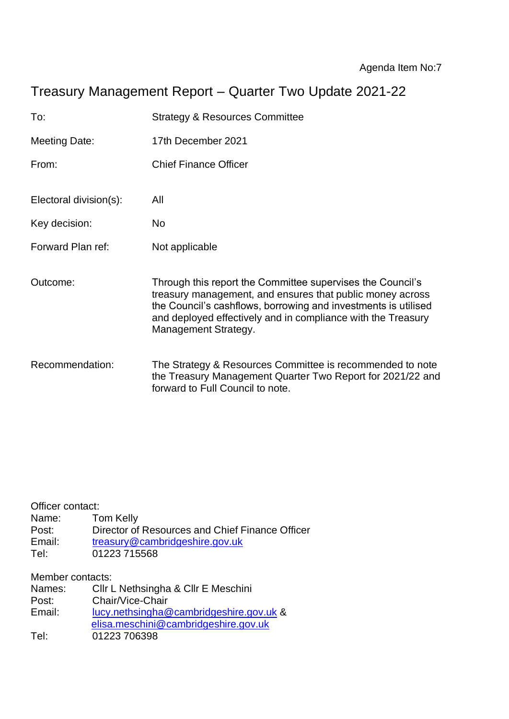# Treasury Management Report – Quarter Two Update 2021-22

| To:                    | <b>Strategy &amp; Resources Committee</b>                                                                                                                                                                                                                                         |
|------------------------|-----------------------------------------------------------------------------------------------------------------------------------------------------------------------------------------------------------------------------------------------------------------------------------|
| <b>Meeting Date:</b>   | 17th December 2021                                                                                                                                                                                                                                                                |
| From:                  | <b>Chief Finance Officer</b>                                                                                                                                                                                                                                                      |
| Electoral division(s): | All                                                                                                                                                                                                                                                                               |
| Key decision:          | No.                                                                                                                                                                                                                                                                               |
| Forward Plan ref:      | Not applicable                                                                                                                                                                                                                                                                    |
| Outcome:               | Through this report the Committee supervises the Council's<br>treasury management, and ensures that public money across<br>the Council's cashflows, borrowing and investments is utilised<br>and deployed effectively and in compliance with the Treasury<br>Management Strategy. |
| Recommendation:        | The Strategy & Resources Committee is recommended to note<br>the Treasury Management Quarter Two Report for 2021/22 and<br>forward to Full Council to note.                                                                                                                       |

| Officer contact: |                                                 |
|------------------|-------------------------------------------------|
| Name:            | Tom Kelly                                       |
| Post:            | Director of Resources and Chief Finance Officer |
| Email:           | treasury@cambridgeshire.gov.uk                  |
| Tel:             | 01223 715568                                    |
|                  |                                                 |

Member contacts:

| Names: | Cllr L Nethsingha & Cllr E Meschini     |
|--------|-----------------------------------------|
| Post:  | Chair/Vice-Chair                        |
| Email: | lucy.nethsingha@cambridgeshire.gov.uk & |
|        | elisa.meschini@cambridgeshire.gov.uk    |
| Tel:   | 01223 706398                            |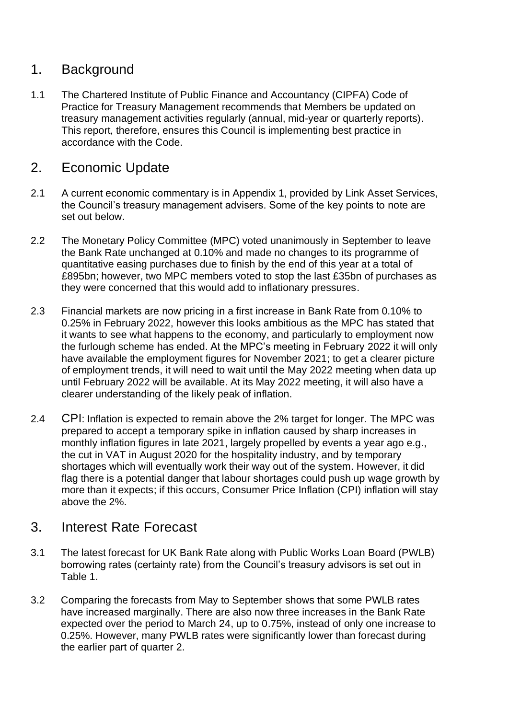## 1. Background

1.1 The Chartered Institute of Public Finance and Accountancy (CIPFA) Code of Practice for Treasury Management recommends that Members be updated on treasury management activities regularly (annual, mid-year or quarterly reports). This report, therefore, ensures this Council is implementing best practice in accordance with the Code.

## 2. Economic Update

- 2.1 A current economic commentary is in Appendix 1, provided by Link Asset Services, the Council's treasury management advisers. Some of the key points to note are set out below.
- 2.2 The Monetary Policy Committee (MPC) voted unanimously in September to leave the Bank Rate unchanged at 0.10% and made no changes to its programme of quantitative easing purchases due to finish by the end of this year at a total of £895bn; however, two MPC members voted to stop the last £35bn of purchases as they were concerned that this would add to inflationary pressures.
- 2.3 Financial markets are now pricing in a first increase in Bank Rate from 0.10% to 0.25% in February 2022, however this looks ambitious as the MPC has stated that it wants to see what happens to the economy, and particularly to employment now the furlough scheme has ended. At the MPC's meeting in February 2022 it will only have available the employment figures for November 2021; to get a clearer picture of employment trends, it will need to wait until the May 2022 meeting when data up until February 2022 will be available. At its May 2022 meeting, it will also have a clearer understanding of the likely peak of inflation.
- 2.4 CPI: Inflation is expected to remain above the 2% target for longer. The MPC was prepared to accept a temporary spike in inflation caused by sharp increases in monthly inflation figures in late 2021, largely propelled by events a year ago e.g., the cut in VAT in August 2020 for the hospitality industry, and by temporary shortages which will eventually work their way out of the system. However, it did flag there is a potential danger that labour shortages could push up wage growth by more than it expects; if this occurs, Consumer Price Inflation (CPI) inflation will stay above the 2%.

## 3. Interest Rate Forecast

- 3.1 The latest forecast for UK Bank Rate along with Public Works Loan Board (PWLB) borrowing rates (certainty rate) from the Council's treasury advisors is set out in Table 1.
- 3.2 Comparing the forecasts from May to September shows that some PWLB rates have increased marginally. There are also now three increases in the Bank Rate expected over the period to March 24, up to 0.75%, instead of only one increase to 0.25%. However, many PWLB rates were significantly lower than forecast during the earlier part of quarter 2.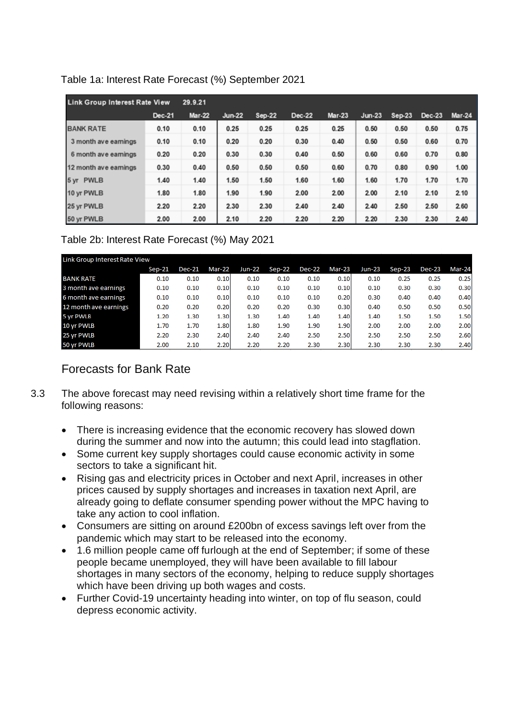| <b>Link Group Interest Rate View</b> |               | 29.9.21       |               |        |        |               |          |          |               |               |
|--------------------------------------|---------------|---------------|---------------|--------|--------|---------------|----------|----------|---------------|---------------|
|                                      | <b>Dec-21</b> | <b>Mar-22</b> | <b>Jun-22</b> | Sep-22 | Dec-22 | <b>Mar-23</b> | $Jun-23$ | $Sep-23$ | <b>Dec-23</b> | <b>Mar-24</b> |
| <b>BANK RATE</b>                     | 0.10          | 0.10          | 0.25          | 0.25   | 0.25   | 0.25          | 0.50     | 0.50     | 0.50          | 0.75          |
| 3 month ave earnings                 | 0.10          | 0.10          | 0.20          | 0.20   | 0.30   | 0.40          | 0.50     | 0.50     | 0.60          | 0.70          |
| 6 month ave earnings                 | 0.20          | 0.20          | 0.30          | 0.30   | 0.40   | 0.50          | 0.60     | 0.60     | 0.70          | 0.80          |
| 12 month ave earnings                | 0.30          | 0.40          | 0.50          | 0.50   | 0.50   | 0.60          | 0.70     | 0.80     | 0.90          | 1.00          |
| 5 yr PWLB                            | 1.40          | 1.40          | 1.50          | 1.50   | 1.60   | 1.60          | 1.60     | 1.70     | 1.70          | 1.70          |
| 10 yr PWLB                           | 1.80          | 1.80          | 1.90          | 1.90   | 2.00   | 2.00          | 2.00     | 2.10     | 2.10          | 2.10          |
| 25 yr PWLB                           | 2.20          | 2.20          | 2.30          | 2.30   | 2.40   | 2.40          | 2.40     | 2.50     | 2.50          | 2.60          |
| 50 yr PWLB                           | 2.00          | 2.00          | 2.10          | 2.20   | 2.20   | 2.20          | 2.20     | 2.30     | 2.30          | 2.40          |

#### Table 1a: Interest Rate Forecast (%) September 2021

#### Table 2b: Interest Rate Forecast (%) May 2021

| Link Group Interest Rate View |        |               |               |               |        |               |        |               |          |               |        |
|-------------------------------|--------|---------------|---------------|---------------|--------|---------------|--------|---------------|----------|---------------|--------|
|                               | Sep-21 | <b>Dec-21</b> | <b>Mar-22</b> | <b>Jun-22</b> | Sep-22 | <b>Dec-22</b> | Mar-23 | <b>Jun-23</b> | $Sep-23$ | <b>Dec-23</b> | Mar-24 |
| <b>BANK RATE</b>              | 0.10   | 0.10          | 0.10          | 0.10          | 0.10   | 0.10          | 0.10   | 0.10          | 0.25     | 0.25          | 0.25   |
| 3 month ave earnings          | 0.10   | 0.10          | 0.10          | 0.10          | 0.10   | 0.10          | 0.10   | 0.10          | 0.30     | 0.30          | 0.30   |
| 6 month ave earnings          | 0.10   | 0.10          | 0.10          | 0.10          | 0.10   | 0.10          | 0.20   | 0.30          | 0.40     | 0.40          | 0.40   |
| 12 month ave earnings         | 0.20   | 0.20          | 0.20          | 0.20          | 0.20   | 0.30          | 0.30   | 0.40          | 0.50     | 0.50          | 0.50   |
| 5 yr PWLB                     | 1.20   | 1.30          | 1.30          | 1.30          | 1.40   | 1.40          | 1.40   | 1.40          | 1.50     | 1.50          | 1.50   |
| 10 yr PWLB                    | 1.70   | 1.70          | 1.80          | 1.80          | 1.90   | 1.90          | 1.90   | 2.00          | 2.00     | 2.00          | 2.00   |
| 25 yr PWLB                    | 2.20   | 2.30          | 2.40          | 2.40          | 2.40   | 2.50          | 2.50   | 2.50          | 2.50     | 2.50          | 2.60   |
| 50 yr PWLB                    | 2.00   | 2.10          | 2.20          | 2.20          | 2.20   | 2.30          | 2.30   | 2.30          | 2.30     | 2.30          | 2.40   |

## Forecasts for Bank Rate

- 3.3 The above forecast may need revising within a relatively short time frame for the following reasons:
	- There is increasing evidence that the economic recovery has slowed down during the summer and now into the autumn; this could lead into stagflation.
	- Some current key supply shortages could cause economic activity in some sectors to take a significant hit.
	- Rising gas and electricity prices in October and next April, increases in other prices caused by supply shortages and increases in taxation next April, are already going to deflate consumer spending power without the MPC having to take any action to cool inflation.
	- Consumers are sitting on around £200bn of excess savings left over from the pandemic which may start to be released into the economy.
	- 1.6 million people came off furlough at the end of September; if some of these people became unemployed, they will have been available to fill labour shortages in many sectors of the economy, helping to reduce supply shortages which have been driving up both wages and costs.
	- Further Covid-19 uncertainty heading into winter, on top of flu season, could depress economic activity.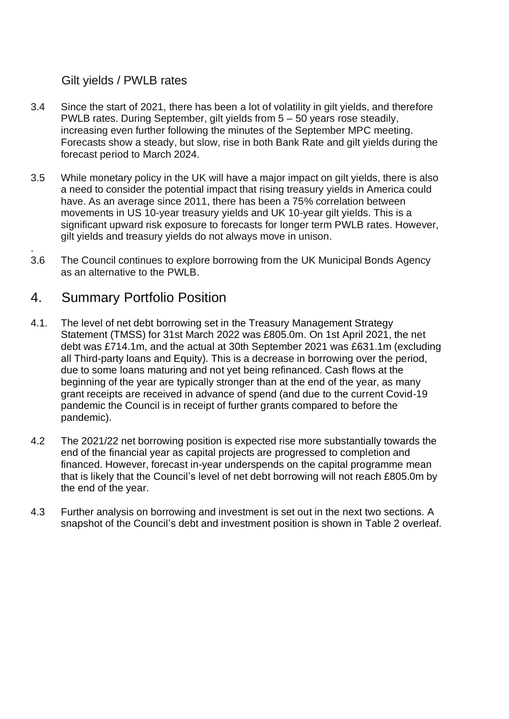#### Gilt yields / PWLB rates

- 3.4 Since the start of 2021, there has been a lot of volatility in gilt yields, and therefore PWLB rates. During September, gilt yields from 5 – 50 years rose steadily, increasing even further following the minutes of the September MPC meeting. Forecasts show a steady, but slow, rise in both Bank Rate and gilt yields during the forecast period to March 2024.
- 3.5 While monetary policy in the UK will have a major impact on gilt yields, there is also a need to consider the potential impact that rising treasury yields in America could have. As an average since 2011, there has been a 75% correlation between movements in US 10-year treasury yields and UK 10-year gilt yields. This is a significant upward risk exposure to forecasts for longer term PWLB rates. However, gilt yields and treasury yields do not always move in unison.
- 3.6 The Council continues to explore borrowing from the UK Municipal Bonds Agency as an alternative to the PWLB.

#### 4. Summary Portfolio Position

.

- 4.1. The level of net debt borrowing set in the Treasury Management Strategy Statement (TMSS) for 31st March 2022 was £805.0m. On 1st April 2021, the net debt was £714.1m, and the actual at 30th September 2021 was £631.1m (excluding all Third-party loans and Equity). This is a decrease in borrowing over the period, due to some loans maturing and not yet being refinanced. Cash flows at the beginning of the year are typically stronger than at the end of the year, as many grant receipts are received in advance of spend (and due to the current Covid-19 pandemic the Council is in receipt of further grants compared to before the pandemic).
- 4.2 The 2021/22 net borrowing position is expected rise more substantially towards the end of the financial year as capital projects are progressed to completion and financed. However, forecast in-year underspends on the capital programme mean that is likely that the Council's level of net debt borrowing will not reach £805.0m by the end of the year.
- 4.3 Further analysis on borrowing and investment is set out in the next two sections. A snapshot of the Council's debt and investment position is shown in Table 2 overleaf.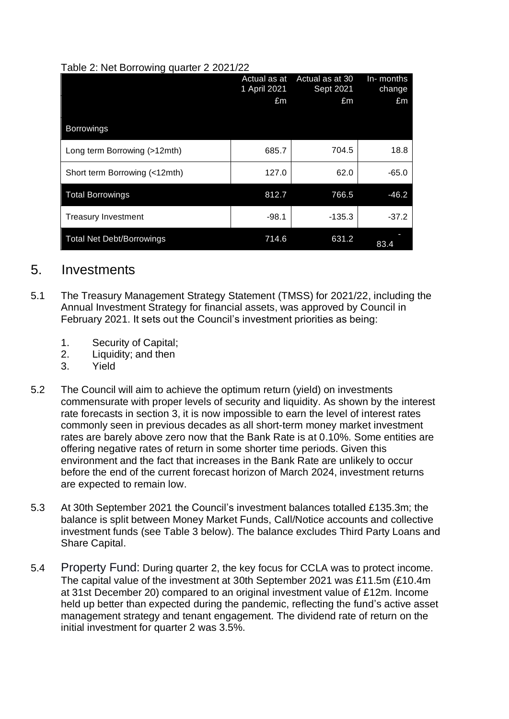|  |  |  | Table 2: Net Borrowing quarter 2 2021/22 |
|--|--|--|------------------------------------------|
|  |  |  |                                          |

| ັ່                               | Actual as at<br>1 April 2021<br>£m | Actual as at 30<br>Sept 2021<br>£m | In-months<br>change<br>£m |
|----------------------------------|------------------------------------|------------------------------------|---------------------------|
| <b>Borrowings</b>                |                                    |                                    |                           |
| Long term Borrowing (>12mth)     | 685.7                              | 704.5                              | 18.8                      |
| Short term Borrowing (<12mth)    | 127.0                              | 62.0                               | $-65.0$                   |
| <b>Total Borrowings</b>          | 812.7                              | 766.5                              | $-46.2$                   |
| <b>Treasury Investment</b>       | $-98.1$                            | -135.3                             | $-37.2$                   |
| <b>Total Net Debt/Borrowings</b> | 714.6                              | 631.2                              | 83.4                      |

#### 5. Investments

- 5.1 The Treasury Management Strategy Statement (TMSS) for 2021/22, including the Annual Investment Strategy for financial assets, was approved by Council in February 2021. It sets out the Council's investment priorities as being:
	- 1. Security of Capital;
	- 2. Liquidity; and then
	- 3. Yield
- 5.2 The Council will aim to achieve the optimum return (yield) on investments commensurate with proper levels of security and liquidity. As shown by the interest rate forecasts in section 3, it is now impossible to earn the level of interest rates commonly seen in previous decades as all short-term money market investment rates are barely above zero now that the Bank Rate is at 0.10%. Some entities are offering negative rates of return in some shorter time periods. Given this environment and the fact that increases in the Bank Rate are unlikely to occur before the end of the current forecast horizon of March 2024, investment returns are expected to remain low.
- 5.3 At 30th September 2021 the Council's investment balances totalled £135.3m; the balance is split between Money Market Funds, Call/Notice accounts and collective investment funds (see Table 3 below). The balance excludes Third Party Loans and Share Capital.
- 5.4 Property Fund: During quarter 2, the key focus for CCLA was to protect income. The capital value of the investment at 30th September 2021 was £11.5m (£10.4m at 31st December 20) compared to an original investment value of £12m. Income held up better than expected during the pandemic, reflecting the fund's active asset management strategy and tenant engagement. The dividend rate of return on the initial investment for quarter 2 was 3.5%.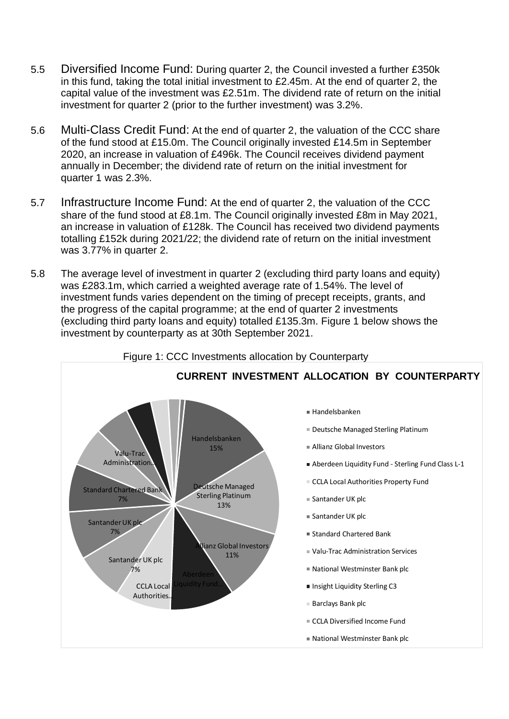- 5.5 Diversified Income Fund: During quarter 2, the Council invested a further £350k in this fund, taking the total initial investment to £2.45m. At the end of quarter 2, the capital value of the investment was £2.51m. The dividend rate of return on the initial investment for quarter 2 (prior to the further investment) was 3.2%.
- 5.6 Multi-Class Credit Fund: At the end of quarter 2, the valuation of the CCC share of the fund stood at £15.0m. The Council originally invested £14.5m in September 2020, an increase in valuation of £496k. The Council receives dividend payment annually in December; the dividend rate of return on the initial investment for quarter 1 was 2.3%.
- 5.7 Infrastructure Income Fund: At the end of quarter 2, the valuation of the CCC share of the fund stood at £8.1m. The Council originally invested £8m in May 2021, an increase in valuation of £128k. The Council has received two dividend payments totalling £152k during 2021/22; the dividend rate of return on the initial investment was 3.77% in quarter 2.
- 5.8 The average level of investment in quarter 2 (excluding third party loans and equity) was £283.1m, which carried a weighted average rate of 1.54%. The level of investment funds varies dependent on the timing of precept receipts, grants, and the progress of the capital programme; at the end of quarter 2 investments (excluding third party loans and equity) totalled £135.3m. Figure 1 below shows the investment by counterparty as at 30th September 2021.

Figure 1: CCC Investments allocation by Counterparty

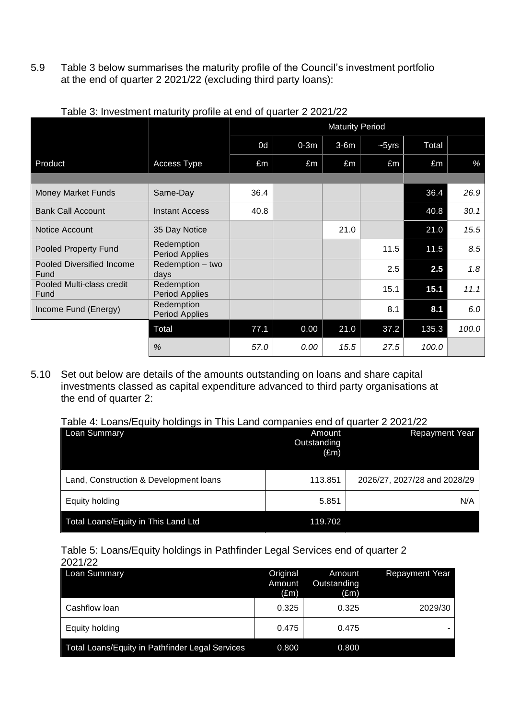5.9 Table 3 below summarises the maturity profile of the Council's investment portfolio at the end of quarter 2 2021/22 (excluding third party loans):

|                                   |                                     | <b>Maturity Period</b> |        |        |         |       |       |  |
|-----------------------------------|-------------------------------------|------------------------|--------|--------|---------|-------|-------|--|
|                                   |                                     | 0d                     | $0-3m$ | $3-6m$ | $-5yrs$ | Total |       |  |
| Product                           | Access Type                         | £m                     | £m     | £m     | £m      | £m    | %     |  |
|                                   |                                     |                        |        |        |         |       |       |  |
| <b>Money Market Funds</b>         | Same-Day                            | 36.4                   |        |        |         | 36.4  | 26.9  |  |
| <b>Bank Call Account</b>          | <b>Instant Access</b>               | 40.8                   |        |        |         | 40.8  | 30.1  |  |
| Notice Account                    | 35 Day Notice                       |                        |        | 21.0   |         | 21.0  | 15.5  |  |
| Pooled Property Fund              | Redemption<br><b>Period Applies</b> |                        |        |        | 11.5    | 11.5  | 8.5   |  |
| Pooled Diversified Income<br>Fund | Redemption - two<br>days            |                        |        |        | 2.5     | 2.5   | 1.8   |  |
| Pooled Multi-class credit<br>Fund | Redemption<br>Period Applies        |                        |        |        | 15.1    | 15.1  | 11.1  |  |
| Income Fund (Energy)              | Redemption<br><b>Period Applies</b> |                        |        |        | 8.1     | 8.1   | 6.0   |  |
|                                   | Total                               | 77.1                   | 0.00   | 21.0   | 37.2    | 135.3 | 100.0 |  |
|                                   | %                                   | 57.0                   | 0.00   | 15.5   | 27.5    | 100.0 |       |  |

Table 3: Investment maturity profile at end of quarter 2 2021/22

5.10 Set out below are details of the amounts outstanding on loans and share capital investments classed as capital expenditure advanced to third party organisations at the end of quarter 2:

Table 4: Loans/Equity holdings in This Land companies end of quarter 2 2021/22

| Loan Summary                           | Amount<br>Outstanding<br>$(\text{Em})$ | <b>Repayment Year</b>        |
|----------------------------------------|----------------------------------------|------------------------------|
| Land, Construction & Development loans | 113.851                                | 2026/27, 2027/28 and 2028/29 |
| Equity holding                         | 5.851                                  | N/A                          |
| Total Loans/Equity in This Land Ltd    | 119.702                                |                              |

## Table 5: Loans/Equity holdings in Pathfinder Legal Services end of quarter 2

| 2021/22                                         |                                     |                                        |                       |
|-------------------------------------------------|-------------------------------------|----------------------------------------|-----------------------|
| <b>Loan Summary</b>                             | Original<br>Amount<br>$(\text{Em})$ | Amount<br>Outstanding<br>$(\text{Em})$ | <b>Repayment Year</b> |
| Cashflow loan                                   | 0.325                               | 0.325                                  | 2029/30               |
| Equity holding                                  | 0.475                               | 0.475                                  |                       |
| Total Loans/Equity in Pathfinder Legal Services | 0.800                               | 0.800                                  |                       |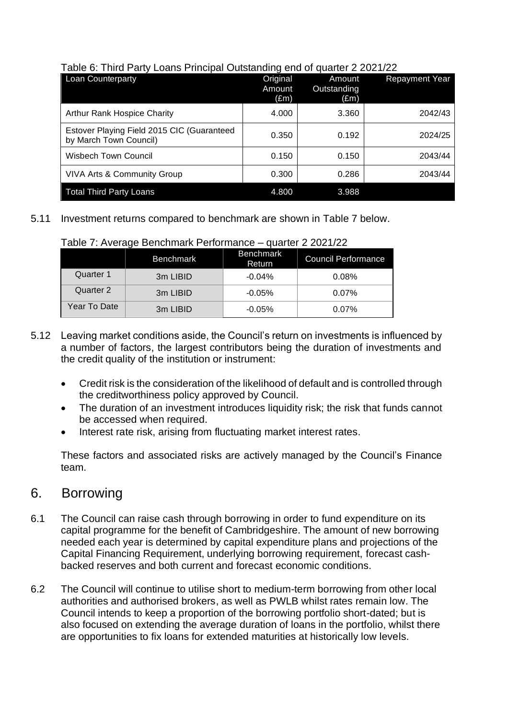| <b>Loan Counterparty</b>                                             | Original<br>Amount<br>$(\text{Em})$ | Amount<br>Outstanding<br>(£m) | <b>Repayment Year</b> |
|----------------------------------------------------------------------|-------------------------------------|-------------------------------|-----------------------|
| Arthur Rank Hospice Charity                                          | 4.000                               | 3.360                         | 2042/43               |
| Estover Playing Field 2015 CIC (Guaranteed<br>by March Town Council) | 0.350                               | 0.192                         | 2024/25               |
| <b>Wisbech Town Council</b>                                          | 0.150                               | 0.150                         | 2043/44               |
| <b>VIVA Arts &amp; Community Group</b>                               | 0.300                               | 0.286                         | 2043/44               |
| <b>Total Third Party Loans</b>                                       | 4.800                               | 3.988                         |                       |

#### Table 6: Third Party Loans Principal Outstanding end of quarter 2 2021/22

#### 5.11 Investment returns compared to benchmark are shown in Table 7 below.

| $\sim$ $\sim$ $\sim$ $\sim$ $\sim$ $\sim$ $\sim$ $\sim$ |                  |                            |                            |  |  |
|---------------------------------------------------------|------------------|----------------------------|----------------------------|--|--|
|                                                         | <b>Benchmark</b> | <b>Benchmark</b><br>Return | <b>Council Performance</b> |  |  |
| Quarter 1                                               | 3m LIBID         | $-0.04%$                   | 0.08%                      |  |  |
| Quarter 2                                               | 3m LIBID         | $-0.05%$                   | 0.07%                      |  |  |
| Year To Date                                            | 3m LIBID         | $-0.05%$                   | 0.07%                      |  |  |

#### Table 7: Average Benchmark Performance – quarter 2 2021/22

- 5.12 Leaving market conditions aside, the Council's return on investments is influenced by a number of factors, the largest contributors being the duration of investments and the credit quality of the institution or instrument:
	- Credit risk is the consideration of the likelihood of default and is controlled through the creditworthiness policy approved by Council.
	- The duration of an investment introduces liquidity risk; the risk that funds cannot be accessed when required.
	- Interest rate risk, arising from fluctuating market interest rates.

These factors and associated risks are actively managed by the Council's Finance team.

## 6. Borrowing

- 6.1 The Council can raise cash through borrowing in order to fund expenditure on its capital programme for the benefit of Cambridgeshire. The amount of new borrowing needed each year is determined by capital expenditure plans and projections of the Capital Financing Requirement, underlying borrowing requirement, forecast cashbacked reserves and both current and forecast economic conditions.
- 6.2 The Council will continue to utilise short to medium-term borrowing from other local authorities and authorised brokers, as well as PWLB whilst rates remain low. The Council intends to keep a proportion of the borrowing portfolio short-dated; but is also focused on extending the average duration of loans in the portfolio, whilst there are opportunities to fix loans for extended maturities at historically low levels.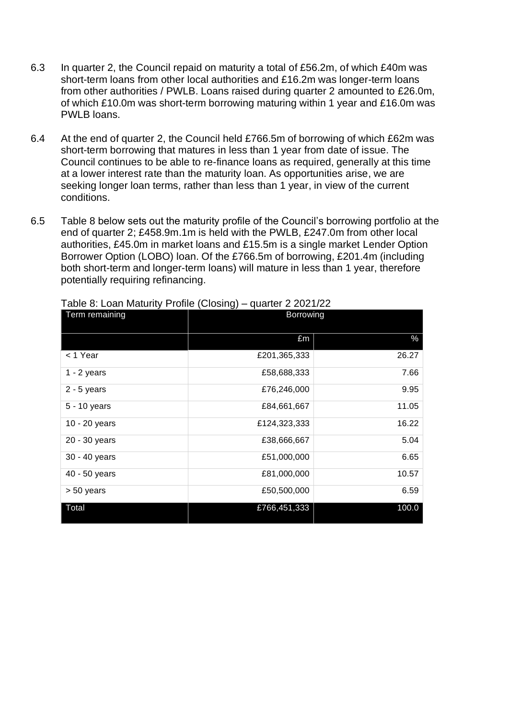- 6.3 In quarter 2, the Council repaid on maturity a total of £56.2m, of which £40m was short-term loans from other local authorities and £16.2m was longer-term loans from other authorities / PWLB. Loans raised during quarter 2 amounted to £26.0m, of which £10.0m was short-term borrowing maturing within 1 year and £16.0m was PWLB loans.
- 6.4 At the end of quarter 2, the Council held £766.5m of borrowing of which £62m was short-term borrowing that matures in less than 1 year from date of issue. The Council continues to be able to re-finance loans as required, generally at this time at a lower interest rate than the maturity loan. As opportunities arise, we are seeking longer loan terms, rather than less than 1 year, in view of the current conditions.
- 6.5 Table 8 below sets out the maturity profile of the Council's borrowing portfolio at the end of quarter 2; £458.9m.1m is held with the PWLB, £247.0m from other local authorities, £45.0m in market loans and £15.5m is a single market Lender Option Borrower Option (LOBO) loan. Of the £766.5m of borrowing, £201.4m (including both short-term and longer-term loans) will mature in less than 1 year, therefore potentially requiring refinancing.

| <b>Term remaining</b> | Borrowing    |       |
|-----------------------|--------------|-------|
|                       | £m           | %     |
| < 1 Year              | £201,365,333 | 26.27 |
| $1 - 2$ years         | £58,688,333  | 7.66  |
| $2 - 5$ years         | £76,246,000  | 9.95  |
| 5 - 10 years          | £84,661,667  | 11.05 |
| 10 - 20 years         | £124,323,333 | 16.22 |
| 20 - 30 years         | £38,666,667  | 5.04  |
| 30 - 40 years         | £51,000,000  | 6.65  |
| 40 - 50 years         | £81,000,000  | 10.57 |
| > 50 years            | £50,500,000  | 6.59  |
| Total                 | £766,451,333 | 100.0 |

Table 8: Loan Maturity Profile (Closing) – quarter 2 2021/22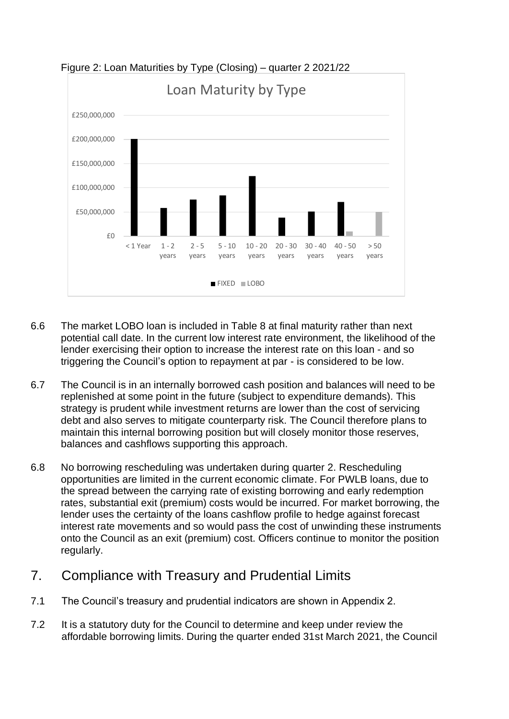

Figure 2: Loan Maturities by Type (Closing) – quarter 2 2021/22

- 6.6 The market LOBO loan is included in Table 8 at final maturity rather than next potential call date. In the current low interest rate environment, the likelihood of the lender exercising their option to increase the interest rate on this loan - and so triggering the Council's option to repayment at par - is considered to be low.
- 6.7 The Council is in an internally borrowed cash position and balances will need to be replenished at some point in the future (subject to expenditure demands). This strategy is prudent while investment returns are lower than the cost of servicing debt and also serves to mitigate counterparty risk. The Council therefore plans to maintain this internal borrowing position but will closely monitor those reserves, balances and cashflows supporting this approach.
- 6.8 No borrowing rescheduling was undertaken during quarter 2. Rescheduling opportunities are limited in the current economic climate. For PWLB loans, due to the spread between the carrying rate of existing borrowing and early redemption rates, substantial exit (premium) costs would be incurred. For market borrowing, the lender uses the certainty of the loans cashflow profile to hedge against forecast interest rate movements and so would pass the cost of unwinding these instruments onto the Council as an exit (premium) cost. Officers continue to monitor the position regularly.

# 7. Compliance with Treasury and Prudential Limits

- 7.1 The Council's treasury and prudential indicators are shown in Appendix 2.
- 7.2 It is a statutory duty for the Council to determine and keep under review the affordable borrowing limits. During the quarter ended 31st March 2021, the Council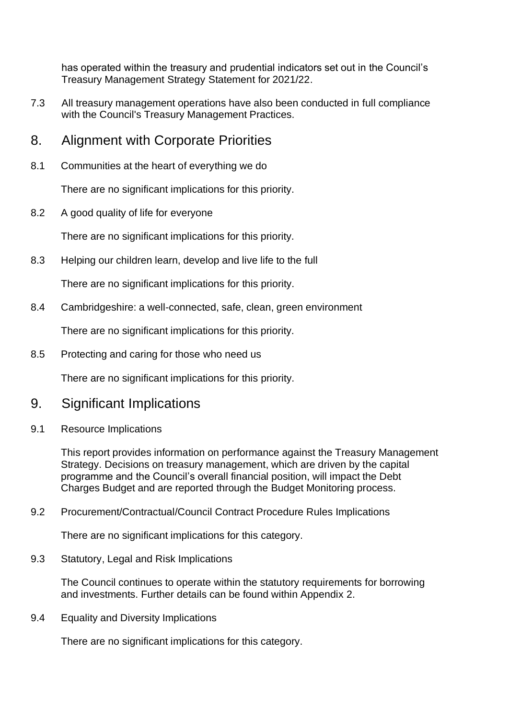has operated within the treasury and prudential indicators set out in the Council's Treasury Management Strategy Statement for 2021/22.

- 7.3 All treasury management operations have also been conducted in full compliance with the Council's Treasury Management Practices.
- 8. Alignment with Corporate Priorities
- 8.1 Communities at the heart of everything we do

There are no significant implications for this priority.

8.2 A good quality of life for everyone

There are no significant implications for this priority.

8.3 Helping our children learn, develop and live life to the full

There are no significant implications for this priority.

8.4 Cambridgeshire: a well-connected, safe, clean, green environment

There are no significant implications for this priority.

8.5 Protecting and caring for those who need us

There are no significant implications for this priority.

- 9. Significant Implications
- 9.1 Resource Implications

This report provides information on performance against the Treasury Management Strategy. Decisions on treasury management, which are driven by the capital programme and the Council's overall financial position, will impact the Debt Charges Budget and are reported through the Budget Monitoring process.

9.2 Procurement/Contractual/Council Contract Procedure Rules Implications

There are no significant implications for this category.

9.3 Statutory, Legal and Risk Implications

The Council continues to operate within the statutory requirements for borrowing and investments. Further details can be found within Appendix 2.

9.4 Equality and Diversity Implications

There are no significant implications for this category.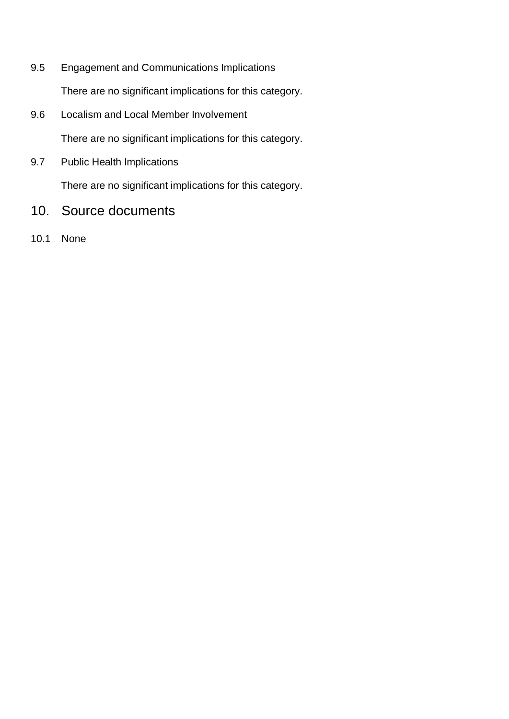9.5 Engagement and Communications Implications

There are no significant implications for this category.

9.6 Localism and Local Member Involvement

There are no significant implications for this category.

9.7 Public Health Implications

There are no significant implications for this category.

- 10. Source documents
- 10.1 None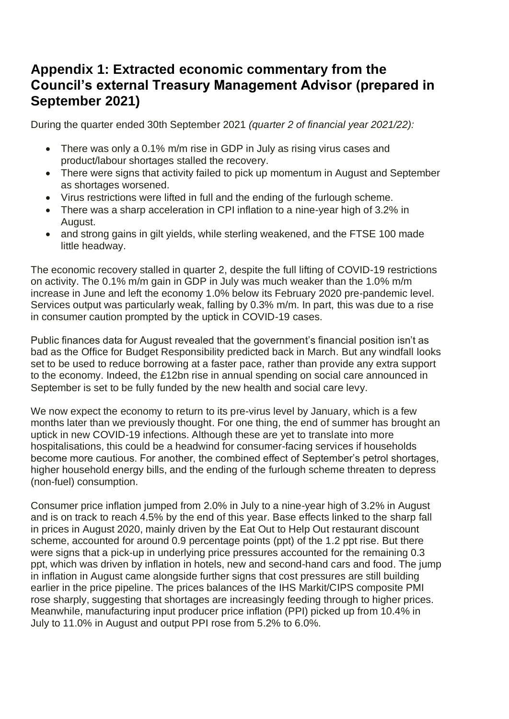# **Appendix 1: Extracted economic commentary from the Council's external Treasury Management Advisor (prepared in September 2021)**

During the quarter ended 30th September 2021 *(quarter 2 of financial year 2021/22):*

- There was only a 0.1% m/m rise in GDP in July as rising virus cases and product/labour shortages stalled the recovery.
- There were signs that activity failed to pick up momentum in August and September as shortages worsened.
- Virus restrictions were lifted in full and the ending of the furlough scheme.
- There was a sharp acceleration in CPI inflation to a nine-year high of 3.2% in August.
- and strong gains in gilt yields, while sterling weakened, and the FTSE 100 made little headway.

The economic recovery stalled in quarter 2, despite the full lifting of COVID-19 restrictions on activity. The 0.1% m/m gain in GDP in July was much weaker than the 1.0% m/m increase in June and left the economy 1.0% below its February 2020 pre-pandemic level. Services output was particularly weak, falling by 0.3% m/m. In part, this was due to a rise in consumer caution prompted by the uptick in COVID-19 cases.

Public finances data for August revealed that the government's financial position isn't as bad as the Office for Budget Responsibility predicted back in March. But any windfall looks set to be used to reduce borrowing at a faster pace, rather than provide any extra support to the economy. Indeed, the £12bn rise in annual spending on social care announced in September is set to be fully funded by the new health and social care levy.

We now expect the economy to return to its pre-virus level by January, which is a few months later than we previously thought. For one thing, the end of summer has brought an uptick in new COVID-19 infections. Although these are yet to translate into more hospitalisations, this could be a headwind for consumer-facing services if households become more cautious. For another, the combined effect of September's petrol shortages, higher household energy bills, and the ending of the furlough scheme threaten to depress (non-fuel) consumption.

Consumer price inflation jumped from 2.0% in July to a nine-year high of 3.2% in August and is on track to reach 4.5% by the end of this year. Base effects linked to the sharp fall in prices in August 2020, mainly driven by the Eat Out to Help Out restaurant discount scheme, accounted for around 0.9 percentage points (ppt) of the 1.2 ppt rise. But there were signs that a pick-up in underlying price pressures accounted for the remaining 0.3 ppt, which was driven by inflation in hotels, new and second-hand cars and food. The jump in inflation in August came alongside further signs that cost pressures are still building earlier in the price pipeline. The prices balances of the IHS Markit/CIPS composite PMI rose sharply, suggesting that shortages are increasingly feeding through to higher prices. Meanwhile, manufacturing input producer price inflation (PPI) picked up from 10.4% in July to 11.0% in August and output PPI rose from 5.2% to 6.0%.